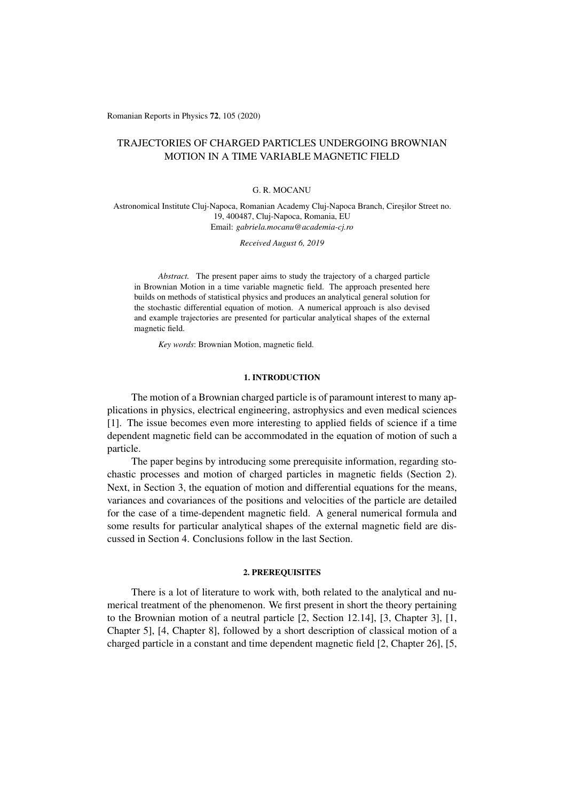Romanian Reports in Physics 72, 105 (2020)

# TRAJECTORIES OF CHARGED PARTICLES UNDERGOING BROWNIAN MOTION IN A TIME VARIABLE MAGNETIC FIELD

#### G. R. MOCANU

Astronomical Institute Cluj-Napoca, Romanian Academy Cluj-Napoca Branch, Ciresilor Street no. 19, 400487, Cluj-Napoca, Romania, EU Email: *gabriela.mocanu@academia-cj.ro*

*Received August 6, 2019*

*Abstract.* The present paper aims to study the trajectory of a charged particle in Brownian Motion in a time variable magnetic field. The approach presented here builds on methods of statistical physics and produces an analytical general solution for the stochastic differential equation of motion. A numerical approach is also devised and example trajectories are presented for particular analytical shapes of the external magnetic field.

*Key words*: Brownian Motion, magnetic field.

### 1. INTRODUCTION

The motion of a Brownian charged particle is of paramount interest to many applications in physics, electrical engineering, astrophysics and even medical sciences [1]. The issue becomes even more interesting to applied fields of science if a time dependent magnetic field can be accommodated in the equation of motion of such a particle.

The paper begins by introducing some prerequisite information, regarding stochastic processes and motion of charged particles in magnetic fields (Section 2). Next, in Section 3, the equation of motion and differential equations for the means, variances and covariances of the positions and velocities of the particle are detailed for the case of a time-dependent magnetic field. A general numerical formula and some results for particular analytical shapes of the external magnetic field are discussed in Section 4. Conclusions follow in the last Section.

### 2. PREREQUISITES

There is a lot of literature to work with, both related to the analytical and numerical treatment of the phenomenon. We first present in short the theory pertaining to the Brownian motion of a neutral particle [2, Section 12.14], [3, Chapter 3], [1, Chapter 5], [4, Chapter 8], followed by a short description of classical motion of a charged particle in a constant and time dependent magnetic field [2, Chapter 26], [5,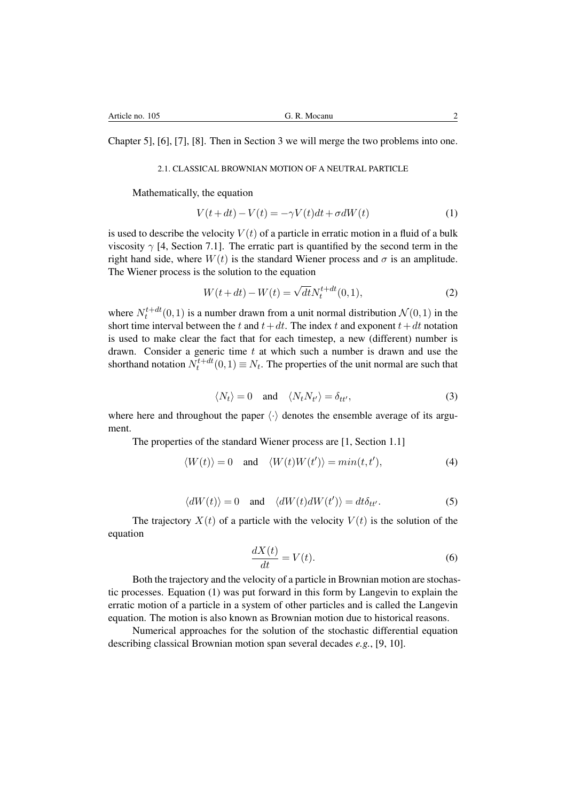Chapter 5], [6], [7], [8]. Then in Section 3 we will merge the two problems into one.

## 2.1. CLASSICAL BROWNIAN MOTION OF A NEUTRAL PARTICLE

Mathematically, the equation

$$
V(t+dt) - V(t) = -\gamma V(t)dt + \sigma dW(t)
$$
\n(1)

is used to describe the velocity  $V(t)$  of a particle in erratic motion in a fluid of a bulk viscosity  $\gamma$  [4, Section 7.1]. The erratic part is quantified by the second term in the right hand side, where  $W(t)$  is the standard Wiener process and  $\sigma$  is an amplitude. The Wiener process is the solution to the equation

$$
W(t+dt) - W(t) = \sqrt{dt} N_t^{t+dt}(0,1),
$$
\n(2)

where  $N_t^{t+dt}(0,1)$  is a number drawn from a unit normal distribution  $\mathcal{N}(0,1)$  in the short time interval between the *t* and  $t + dt$ . The index *t* and exponent  $t + dt$  notation is used to make clear the fact that for each timestep, a new (different) number is drawn. Consider a generic time *t* at which such a number is drawn and use the shorthand notation  $N_t^{t+dt}(0,1) \equiv N_t$ . The properties of the unit normal are such that

$$
\langle N_t \rangle = 0 \quad \text{and} \quad \langle N_t N_{t'} \rangle = \delta_{tt'}, \tag{3}
$$

where here and throughout the paper  $\langle \cdot \rangle$  denotes the ensemble average of its argument.

The properties of the standard Wiener process are [1, Section 1.1]

$$
\langle W(t) \rangle = 0 \quad \text{and} \quad \langle W(t)W(t') \rangle = \min(t, t'), \tag{4}
$$

$$
\langle dW(t) \rangle = 0 \quad \text{and} \quad \langle dW(t) dW(t') \rangle = dt \delta_{tt'}.
$$
 (5)

The trajectory  $X(t)$  of a particle with the velocity  $V(t)$  is the solution of the equation

$$
\frac{dX(t)}{dt} = V(t). \tag{6}
$$

Both the trajectory and the velocity of a particle in Brownian motion are stochastic processes. Equation (1) was put forward in this form by Langevin to explain the erratic motion of a particle in a system of other particles and is called the Langevin equation. The motion is also known as Brownian motion due to historical reasons.

Numerical approaches for the solution of the stochastic differential equation describing classical Brownian motion span several decades *e.g.*, [9, 10].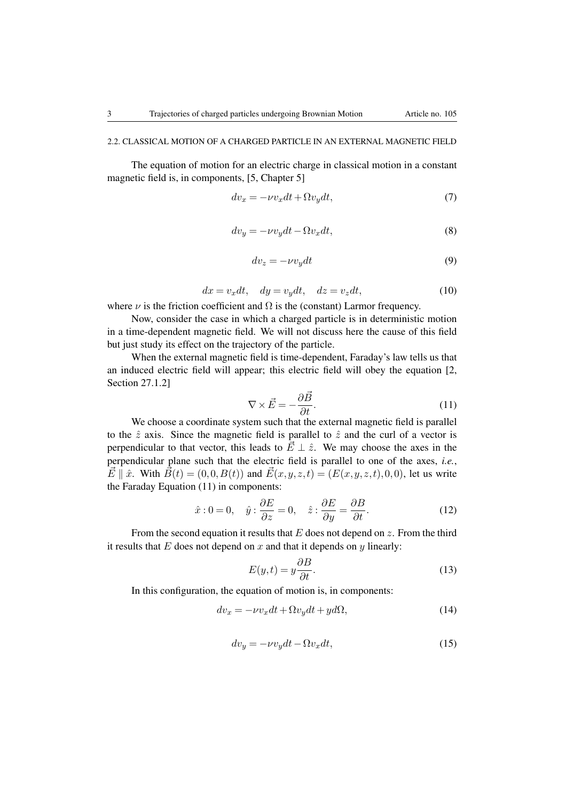### 2.2. CLASSICAL MOTION OF A CHARGED PARTICLE IN AN EXTERNAL MAGNETIC FIELD

The equation of motion for an electric charge in classical motion in a constant magnetic field is, in components, [5, Chapter 5]

$$
dv_x = -\nu v_x dt + \Omega v_y dt,\tag{7}
$$

$$
dv_y = -\nu v_y dt - \Omega v_x dt, \tag{8}
$$

$$
dv_z = -\nu v_y dt \tag{9}
$$

$$
dx = v_x dt, \quad dy = v_y dt, \quad dz = v_z dt,
$$
\n(10)

where  $\nu$  is the friction coefficient and  $\Omega$  is the (constant) Larmor frequency.

Now, consider the case in which a charged particle is in deterministic motion in a time-dependent magnetic field. We will not discuss here the cause of this field but just study its effect on the trajectory of the particle.

When the external magnetic field is time-dependent, Faraday's law tells us that an induced electric field will appear; this electric field will obey the equation [2, Section 27.1.2]

$$
\nabla \times \vec{E} = -\frac{\partial \vec{B}}{\partial t}.
$$
\n(11)

We choose a coordinate system such that the external magnetic field is parallel to the  $\hat{z}$  axis. Since the magnetic field is parallel to  $\hat{z}$  and the curl of a vector is perpendicular to that vector, this leads to  $\vec{E} \perp \hat{z}$ . We may choose the axes in the perpendicular plane such that the electric field is parallel to one of the axes, *i.e.*,  $\vec{E} \parallel \hat{x}$ . With  $\vec{B}(t) = (0,0,B(t))$  and  $\vec{E}(x,y,z,t) = (E(x,y,z,t),0,0)$ , let us write the Faraday Equation (11) in components:

$$
\hat{x}: 0 = 0, \quad \hat{y}: \frac{\partial E}{\partial z} = 0, \quad \hat{z}: \frac{\partial E}{\partial y} = \frac{\partial B}{\partial t}.
$$
 (12)

From the second equation it results that *E* does not depend on *z*. From the third it results that  $E$  does not depend on  $x$  and that it depends on  $y$  linearly:

$$
E(y,t) = y\frac{\partial B}{\partial t}.\tag{13}
$$

In this configuration, the equation of motion is, in components:

$$
dv_x = -\nu v_x dt + \Omega v_y dt + y d\Omega,
$$
\n(14)

$$
dv_y = -\nu v_y dt - \Omega v_x dt, \qquad (15)
$$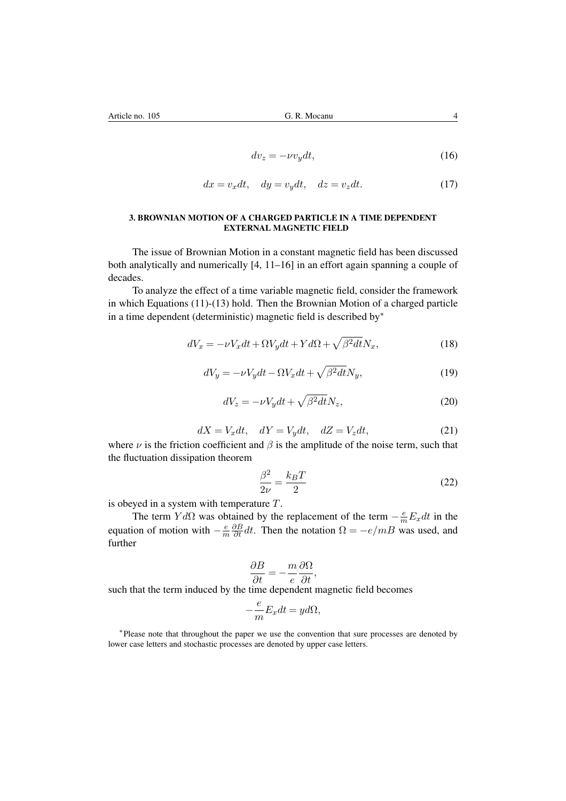$$
dv_z = -\nu v_y dt,\t\t(16)
$$

$$
dx = v_x dt, \quad dy = v_y dt, \quad dz = v_z dt.
$$
 (17)

### 3. BROWNIAN MOTION OF A CHARGED PARTICLE IN A TIME DEPENDENT EXTERNAL MAGNETIC FIELD

The issue of Brownian Motion in a constant magnetic field has been discussed both analytically and numerically [4, 11–16] in an effort again spanning a couple of decades.

To analyze the effect of a time variable magnetic field, consider the framework in which Equations (11)-(13) hold. Then the Brownian Motion of a charged particle in a time dependent (deterministic) magnetic field is described by $*$ 

$$
dV_x = -\nu V_x dt + \Omega V_y dt + Y d\Omega + \sqrt{\beta^2 dt} N_x, \qquad (18)
$$

$$
dV_y = -\nu V_y dt - \Omega V_x dt + \sqrt{\beta^2 dt} N_y, \qquad (19)
$$

$$
dV_z = -\nu V_y dt + \sqrt{\beta^2 dt} N_z,\tag{20}
$$

$$
dX = V_x dt, \quad dY = V_y dt, \quad dZ = V_z dt,
$$
\n(21)

where  $\nu$  is the friction coefficient and  $\beta$  is the amplitude of the noise term, such that the fluctuation dissipation theorem

$$
\frac{\beta^2}{2\nu} = \frac{k_B T}{2} \tag{22}
$$

is obeyed in a system with temperature *T*.

The term  $Yd\Omega$  was obtained by the replacement of the term  $-\frac{e}{m}E_xdt$  in the equation of motion with  $-\frac{e}{m}$  $\frac{\partial B}{\partial t} dt$ . Then the notation  $\Omega = -e/mB$  was used, and further

$$
\frac{\partial B}{\partial t} = -\frac{m}{e} \frac{\partial \Omega}{\partial t},
$$

such that the term induced by the time dependent magnetic field becomes

$$
-\frac{e}{m}E_x dt = yd\Omega,
$$

⇤Please note that throughout the paper we use the convention that sure processes are denoted by lower case letters and stochastic processes are denoted by upper case letters.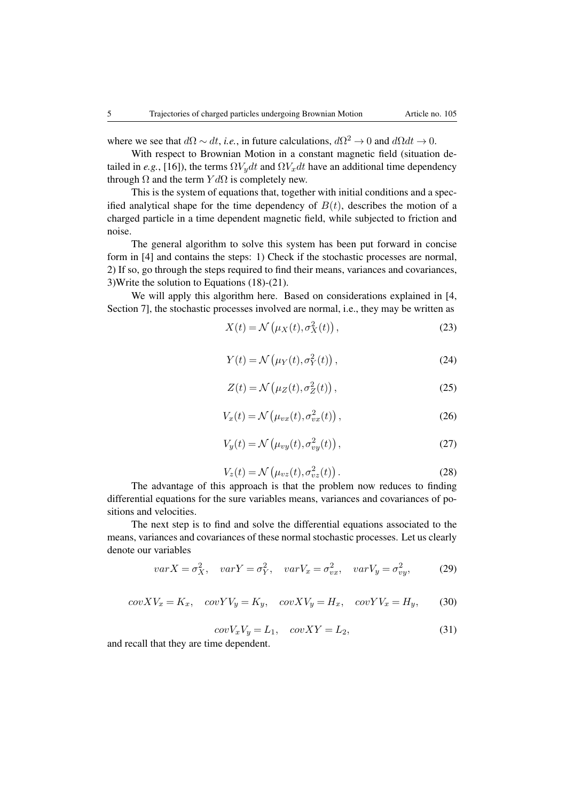where we see that  $d\Omega \sim dt$ , *i.e.*, in future calculations,  $d\Omega^2 \rightarrow 0$  and  $d\Omega dt \rightarrow 0$ .

With respect to Brownian Motion in a constant magnetic field (situation detailed in *e.g.*, [16]), the terms  $\Omega V_y dt$  and  $\Omega V_x dt$  have an additional time dependency through  $\Omega$  and the term  $Y d\Omega$  is completely new.

This is the system of equations that, together with initial conditions and a specified analytical shape for the time dependency of  $B(t)$ , describes the motion of a charged particle in a time dependent magnetic field, while subjected to friction and noise.

The general algorithm to solve this system has been put forward in concise form in [4] and contains the steps: 1) Check if the stochastic processes are normal, 2) If so, go through the steps required to find their means, variances and covariances, 3)Write the solution to Equations (18)-(21).

We will apply this algorithm here. Based on considerations explained in [4,] Section 7], the stochastic processes involved are normal, i.e., they may be written as

$$
X(t) = \mathcal{N}\left(\mu_X(t), \sigma_X^2(t)\right),\tag{23}
$$

$$
Y(t) = \mathcal{N}\left(\mu_Y(t), \sigma_Y^2(t)\right),\tag{24}
$$

$$
Z(t) = \mathcal{N}\left(\mu_Z(t), \sigma_Z^2(t)\right),\tag{25}
$$

$$
V_x(t) = \mathcal{N}\left(\mu_{vx}(t), \sigma_{vx}^2(t)\right),\tag{26}
$$

$$
V_y(t) = \mathcal{N}\left(\mu_{vy}(t), \sigma_{vy}^2(t)\right),\tag{27}
$$

$$
V_z(t) = \mathcal{N}\left(\mu_{vz}(t), \sigma_{vz}^2(t)\right). \tag{28}
$$

The advantage of this approach is that the problem now reduces to finding differential equations for the sure variables means, variances and covariances of positions and velocities.

The next step is to find and solve the differential equations associated to the means, variances and covariances of these normal stochastic processes. Let us clearly denote our variables

$$
varX = \sigma_X^2, \quad varY = \sigma_Y^2, \quad varV_x = \sigma_{vx}^2, \quad varV_y = \sigma_{vy}^2,
$$
 (29)

$$
cov XV_x = K_x, covYV_y = K_y, covXV_y = H_x, covYV_x = H_y,
$$
 (30)

$$
cov V_x V_y = L_1, cov XY = L_2,
$$
\n(31)

and recall that they are time dependent.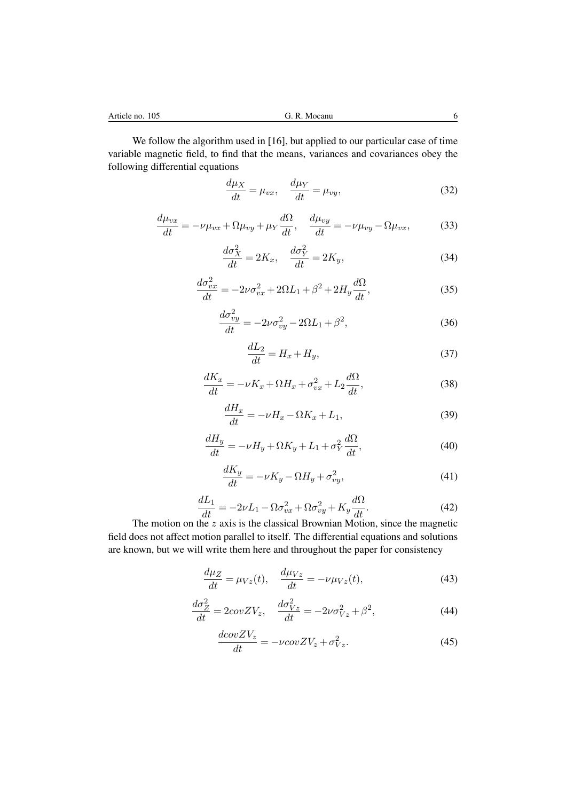We follow the algorithm used in [16], but applied to our particular case of time variable magnetic field, to find that the means, variances and covariances obey the following differential equations

$$
\frac{d\mu_X}{dt} = \mu_{vx}, \quad \frac{d\mu_Y}{dt} = \mu_{vy}, \tag{32}
$$

$$
\frac{d\mu_{vx}}{dt} = -\nu\mu_{vx} + \Omega\mu_{vy} + \mu_Y \frac{d\Omega}{dt}, \quad \frac{d\mu_{vy}}{dt} = -\nu\mu_{vy} - \Omega\mu_{vx},\tag{33}
$$

$$
\frac{d\sigma_X^2}{dt} = 2K_x, \quad \frac{d\sigma_Y^2}{dt} = 2K_y,\tag{34}
$$

$$
\frac{d\sigma_{vx}^2}{dt} = -2\nu\sigma_{vx}^2 + 2\Omega L_1 + \beta^2 + 2H_y \frac{d\Omega}{dt},\tag{35}
$$

$$
\frac{d\sigma_{vy}^2}{dt} = -2\nu\sigma_{vy}^2 - 2\Omega L_1 + \beta^2,\tag{36}
$$

$$
\frac{dL_2}{dt} = H_x + H_y,\tag{37}
$$

$$
\frac{dK_x}{dt} = -\nu K_x + \Omega H_x + \sigma_{vx}^2 + L_2 \frac{d\Omega}{dt},\tag{38}
$$

$$
\frac{dH_x}{dt} = -\nu H_x - \Omega K_x + L_1,\tag{39}
$$

$$
\frac{dH_y}{dt} = -\nu H_y + \Omega K_y + L_1 + \sigma_Y^2 \frac{d\Omega}{dt},\tag{40}
$$

$$
\frac{dK_y}{dt} = -\nu K_y - \Omega H_y + \sigma_{vy}^2,\tag{41}
$$

$$
\frac{dL_1}{dt} = -2\nu L_1 - \Omega \sigma_{vx}^2 + \Omega \sigma_{vy}^2 + K_y \frac{d\Omega}{dt}.
$$
\n(42)

The motion on the *z* axis is the classical Brownian Motion, since the magnetic field does not affect motion parallel to itself. The differential equations and solutions are known, but we will write them here and throughout the paper for consistency

$$
\frac{d\mu_Z}{dt} = \mu_{Vz}(t), \quad \frac{d\mu_{Vz}}{dt} = -\nu \mu_{Vz}(t),\tag{43}
$$

$$
\frac{d\sigma_Z^2}{dt} = 2\omega v Z V_z, \quad \frac{d\sigma_{Vz}^2}{dt} = -2\nu \sigma_{Vz}^2 + \beta^2,\tag{44}
$$

$$
\frac{dcov ZV_z}{dt} = -\nu cov ZV_z + \sigma_{Vz}^2.
$$
\n(45)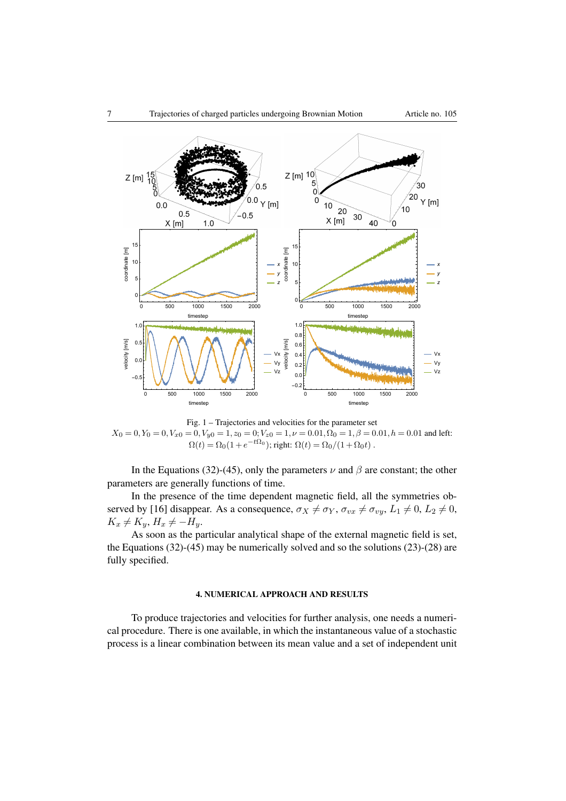

Fig. 1 – Trajectories and velocities for the parameter set  $X_0 = 0, Y_0 = 0, V_{x0} = 0, V_{y0} = 1, z_0 = 0; V_{z0} = 1, \nu = 0.01, \Omega_0 = 1, \beta = 0.01, h = 0.01$  and left:  $\Omega(t) = \Omega_0(1 + e^{-t\Omega_0})$ ; right:  $\Omega(t) = \Omega_0/(1 + \Omega_0 t)$ .

In the Equations (32)-(45), only the parameters  $\nu$  and  $\beta$  are constant; the other parameters are generally functions of time.

In the presence of the time dependent magnetic field, all the symmetries observed by [16] disappear. As a consequence,  $\sigma_X \neq \sigma_Y$ ,  $\sigma_{vx} \neq \sigma_{vy}$ ,  $L_1 \neq 0$ ,  $L_2 \neq 0$ ,  $K_x \neq K_y, H_x \neq -H_y$ .

As soon as the particular analytical shape of the external magnetic field is set, the Equations (32)-(45) may be numerically solved and so the solutions (23)-(28) are fully specified.

## 4. NUMERICAL APPROACH AND RESULTS

To produce trajectories and velocities for further analysis, one needs a numerical procedure. There is one available, in which the instantaneous value of a stochastic process is a linear combination between its mean value and a set of independent unit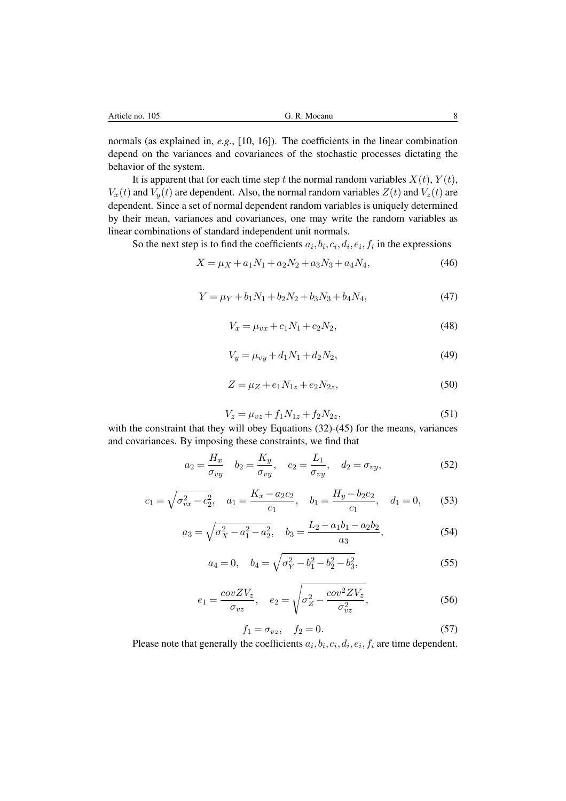normals (as explained in, *e.g.*, [10, 16]). The coefficients in the linear combination depend on the variances and covariances of the stochastic processes dictating the behavior of the system.

It is apparent that for each time step *t* the normal random variables  $X(t)$ ,  $Y(t)$ ,  $V_x(t)$  and  $V_y(t)$  are dependent. Also, the normal random variables  $Z(t)$  and  $V_z(t)$  are dependent. Since a set of normal dependent random variables is uniquely determined by their mean, variances and covariances, one may write the random variables as linear combinations of standard independent unit normals.

So the next step is to find the coefficients  $a_i, b_i, c_i, d_i, e_i, f_i$  in the expressions

$$
X = \mu_X + a_1 N_1 + a_2 N_2 + a_3 N_3 + a_4 N_4,\tag{46}
$$

$$
Y = \mu_Y + b_1 N_1 + b_2 N_2 + b_3 N_3 + b_4 N_4, \tag{47}
$$

$$
V_x = \mu_{vx} + c_1 N_1 + c_2 N_2, \tag{48}
$$

$$
V_y = \mu_{vy} + d_1 N_1 + d_2 N_2, \tag{49}
$$

$$
Z = \mu_Z + e_1 N_{1z} + e_2 N_{2z},\tag{50}
$$

$$
V_z = \mu_{vz} + f_1 N_{1z} + f_2 N_{2z},\tag{51}
$$

with the constraint that they will obey Equations (32)-(45) for the means, variances and covariances. By imposing these constraints, we find that

$$
a_2 = \frac{H_x}{\sigma_{vy}} \quad b_2 = \frac{K_y}{\sigma_{vy}}, \quad c_2 = \frac{L_1}{\sigma_{vy}}, \quad d_2 = \sigma_{vy}, \tag{52}
$$

$$
c_1 = \sqrt{\sigma_{vx}^2 - c_2^2}
$$
,  $a_1 = \frac{K_x - a_2 c_2}{c_1}$ ,  $b_1 = \frac{H_y - b_2 c_2}{c_1}$ ,  $d_1 = 0$ , (53)

$$
a_3 = \sqrt{\sigma_X^2 - a_1^2 - a_2^2}, \quad b_3 = \frac{L_2 - a_1 b_1 - a_2 b_2}{a_3},\tag{54}
$$

$$
a_4 = 0, \quad b_4 = \sqrt{\sigma_Y^2 - b_1^2 - b_2^2 - b_3^2},\tag{55}
$$

$$
e_1 = \frac{covZV_z}{\sigma_{vz}}, \quad e_2 = \sqrt{\sigma_Z^2 - \frac{cov^2ZV_z}{\sigma_{vz}^2}},\tag{56}
$$

$$
f_1 = \sigma_{vz}, \quad f_2 = 0. \tag{57}
$$

Please note that generally the coefficients  $a_i, b_i, c_i, d_i, e_i, f_i$  are time dependent.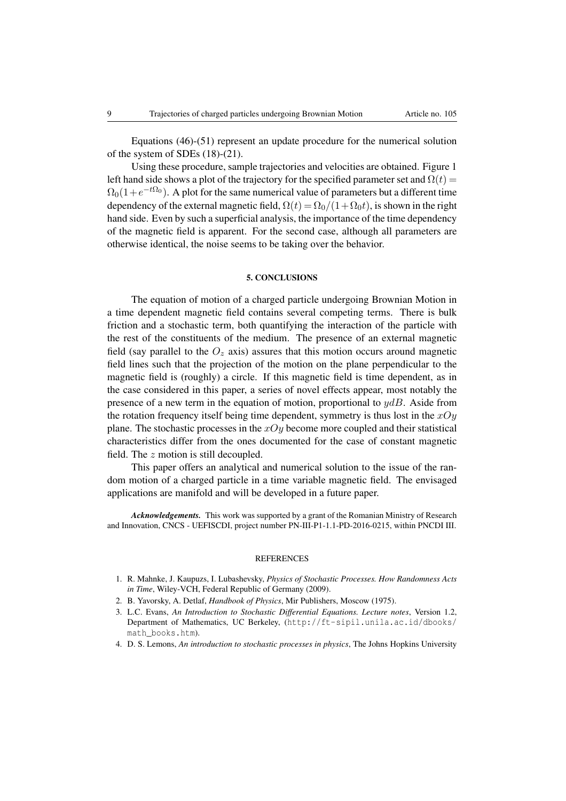Equations (46)-(51) represent an update procedure for the numerical solution of the system of SDEs (18)-(21).

Using these procedure, sample trajectories and velocities are obtained. Figure 1 left hand side shows a plot of the trajectory for the specified parameter set and  $\Omega(t)$  =  $\Omega_0(1+e^{-t\Omega_0})$ . A plot for the same numerical value of parameters but a different time dependency of the external magnetic field,  $\Omega(t) = \Omega_0/(1+\Omega_0 t)$ , is shown in the right hand side. Even by such a superficial analysis, the importance of the time dependency of the magnetic field is apparent. For the second case, although all parameters are otherwise identical, the noise seems to be taking over the behavior.

### 5. CONCLUSIONS

The equation of motion of a charged particle undergoing Brownian Motion in a time dependent magnetic field contains several competing terms. There is bulk friction and a stochastic term, both quantifying the interaction of the particle with the rest of the constituents of the medium. The presence of an external magnetic field (say parallel to the  $O_z$  axis) assures that this motion occurs around magnetic field lines such that the projection of the motion on the plane perpendicular to the magnetic field is (roughly) a circle. If this magnetic field is time dependent, as in the case considered in this paper, a series of novel effects appear, most notably the presence of a new term in the equation of motion, proportional to *ydB*. Aside from the rotation frequency itself being time dependent, symmetry is thus lost in the *xOy* plane. The stochastic processes in the *xOy* become more coupled and their statistical characteristics differ from the ones documented for the case of constant magnetic field. The *z* motion is still decoupled.

This paper offers an analytical and numerical solution to the issue of the random motion of a charged particle in a time variable magnetic field. The envisaged applications are manifold and will be developed in a future paper.

*Acknowledgements.* This work was supported by a grant of the Romanian Ministry of Research and Innovation, CNCS - UEFISCDI, project number PN-III-P1-1.1-PD-2016-0215, within PNCDI III.

#### **REFERENCES**

- 1. R. Mahnke, J. Kaupuzs, I. Lubashevsky, *Physics of Stochastic Processes. How Randomness Acts in Time*, Wiley-VCH, Federal Republic of Germany (2009).
- 2. B. Yavorsky, A. Detlaf, *Handbook of Physics*, Mir Publishers, Moscow (1975).
- 3. L.C. Evans, *An Introduction to Stochastic Differential Equations. Lecture notes*, Version 1.2, Department of Mathematics, UC Berkeley, (http://ft-sipil.unila.ac.id/dbooks/ math\_books.htm).
- 4. D. S. Lemons, *An introduction to stochastic processes in physics*, The Johns Hopkins University